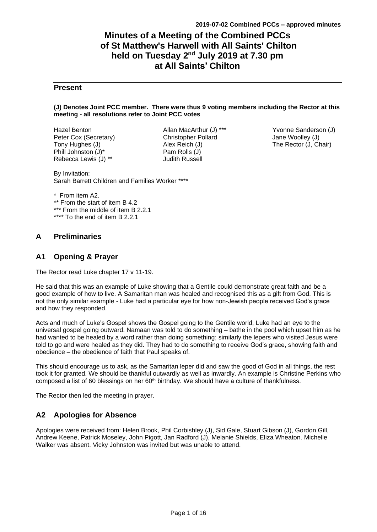# **Minutes of a Meeting of the Combined PCCs of St Matthew's Harwell with All Saints' Chilton held on Tuesday 2 nd July 2019 at 7.30 pm at All Saints' Chilton**

## **Present**

#### **(J) Denotes Joint PCC member. There were thus 9 voting members including the Rector at this meeting - all resolutions refer to Joint PCC votes**

Hazel Benton Peter Cox (Secretary) Tony Hughes (J) Phill Johnston (J)\* Rebecca Lewis (J) \*\*

Allan MacArthur (J) \*\*\* Christopher Pollard Alex Reich (J) Pam Rolls (J) Judith Russell

Yvonne Sanderson (J) Jane Woolley (J) The Rector (J, Chair)

By Invitation: Sarah Barrett Children and Families Worker \*\*\*\*

\* From item A2. \*\* From the start of item B 4.2 \*\*\* From the middle of item B 2.2.1 \*\*\*\* To the end of item B 2.2.1

## **A Preliminaries**

## **A1 Opening & Prayer**

The Rector read Luke chapter 17 v 11-19.

He said that this was an example of Luke showing that a Gentile could demonstrate great faith and be a good example of how to live. A Samaritan man was healed and recognised this as a gift from God. This is not the only similar example - Luke had a particular eye for how non-Jewish people received God's grace and how they responded.

Acts and much of Luke's Gospel shows the Gospel going to the Gentile world, Luke had an eye to the universal gospel going outward. Namaan was told to do something – bathe in the pool which upset him as he had wanted to be healed by a word rather than doing something; similarly the lepers who visited Jesus were told to go and were healed as they did. They had to do something to receive God's grace, showing faith and obedience – the obedience of faith that Paul speaks of.

This should encourage us to ask, as the Samaritan leper did and saw the good of God in all things, the rest took it for granted. We should be thankful outwardly as well as inwardly. An example is Christine Perkins who composed a list of 60 blessings on her  $60<sup>th</sup>$  birthday. We should have a culture of thankfulness.

The Rector then led the meeting in prayer.

## **A2 Apologies for Absence**

Apologies were received from: Helen Brook, Phil Corbishley (J), Sid Gale, Stuart Gibson (J), Gordon Gill, Andrew Keene, Patrick Moseley, John Pigott, Jan Radford (J), Melanie Shields, Eliza Wheaton. Michelle Walker was absent. Vicky Johnston was invited but was unable to attend.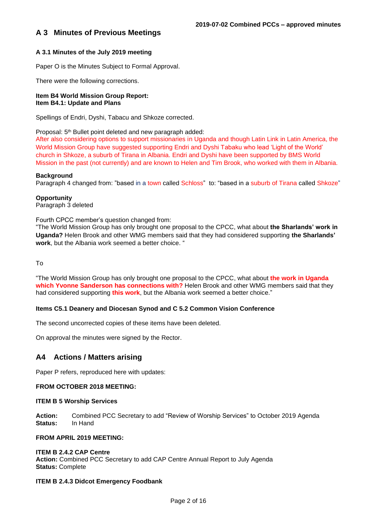## **A 3 Minutes of Previous Meetings**

## **A 3.1 Minutes of the July 2019 meeting**

Paper O is the Minutes Subject to Formal Approval.

There were the following corrections.

#### **Item B4 World Mission Group Report: Item B4.1: Update and Plans**

Spellings of Endri, Dyshi, Tabacu and Shkoze corrected.

Proposal: 5<sup>th</sup> Bullet point deleted and new paragraph added:

After also considering options to support missionaries in Uganda and though Latin Link in Latin America, the World Mission Group have suggested supporting Endri and Dyshi Tabaku who lead 'Light of the World' church in Shkoze, a suburb of Tirana in Albania. Endri and Dyshi have been supported by BMS World Mission in the past (not currently) and are known to Helen and Tim Brook, who worked with them in Albania.

#### **Background**

Paragraph 4 changed from: "based in a town called Schloss" to: "based in a suburb of Tirana called Shkoze"

## **Opportunity**

Paragraph 3 deleted

#### Fourth CPCC member's question changed from:

"The World Mission Group has only brought one proposal to the CPCC, what about **the Sharlands' work in Uganda?** Helen Brook and other WMG members said that they had considered supporting **the Sharlands' work**, but the Albania work seemed a better choice. "

To

"The World Mission Group has only brought one proposal to the CPCC, what about **the work in Uganda which Yvonne Sanderson has connections with?** Helen Brook and other WMG members said that they had considered supporting **this work**, but the Albania work seemed a better choice."

## **Items C5.1 Deanery and Diocesan Synod and C 5.2 Common Vision Conference**

The second uncorrected copies of these items have been deleted.

On approval the minutes were signed by the Rector.

## **A4 Actions / Matters arising**

Paper P refers, reproduced here with updates:

#### **FROM OCTOBER 2018 MEETING:**

#### **ITEM B 5 Worship Services**

**Action:** Combined PCC Secretary to add "Review of Worship Services" to October 2019 Agenda **Status:** In Hand

#### **FROM APRIL 2019 MEETING:**

## **ITEM B 2.4.2 CAP Centre**

**Action:** Combined PCC Secretary to add CAP Centre Annual Report to July Agenda **Status:** Complete

## **ITEM B 2.4.3 Didcot Emergency Foodbank**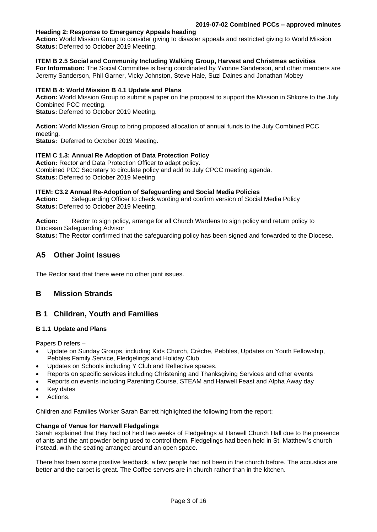#### **Heading 2: Response to Emergency Appeals heading**

**Action:** World Mission Group to consider giving to disaster appeals and restricted giving to World Mission **Status:** Deferred to October 2019 Meeting.

## **ITEM B 2.5 Social and Community Including Walking Group, Harvest and Christmas activities**

**For Information:** The Social Committee is being coordinated by Yvonne Sanderson, and other members are Jeremy Sanderson, Phil Garner, Vicky Johnston, Steve Hale, Suzi Daines and Jonathan Mobey

#### **ITEM B 4: World Mission B 4.1 Update and Plans**

**Action:** World Mission Group to submit a paper on the proposal to support the Mission in Shkoze to the July Combined PCC meeting.

**Status:** Deferred to October 2019 Meeting.

**Action:** World Mission Group to bring proposed allocation of annual funds to the July Combined PCC meeting.

**Status:** Deferred to October 2019 Meeting.

#### **ITEM C 1.3: Annual Re Adoption of Data Protection Policy**

**Action:** Rector and Data Protection Officer to adapt policy. Combined PCC Secretary to circulate policy and add to July CPCC meeting agenda. **Status: Deferred to October 2019 Meeting** 

#### **ITEM: C3.2 Annual Re-Adoption of Safeguarding and Social Media Policies**

**Action:** Safeguarding Officer to check wording and confirm version of Social Media Policy **Status:** Deferred to October 2019 Meeting.

**Action:** Rector to sign policy, arrange for all Church Wardens to sign policy and return policy to Diocesan Safeguarding Advisor

**Status:** The Rector confirmed that the safeguarding policy has been signed and forwarded to the Diocese.

## **A5 Other Joint Issues**

The Rector said that there were no other joint issues.

## **B Mission Strands**

## **B 1 Children, Youth and Families**

#### **B 1.1 Update and Plans**

Papers D refers –

- Update on Sunday Groups, including Kids Church, Crèche, Pebbles, Updates on Youth Fellowship, Pebbles Family Service, Fledgelings and Holiday Club.
- Updates on Schools including Y Club and Reflective spaces.
- Reports on specific services including Christening and Thanksgiving Services and other events
- Reports on events including Parenting Course, STEAM and Harwell Feast and Alpha Away day
- **Key dates**
- Actions.

Children and Families Worker Sarah Barrett highlighted the following from the report:

#### **Change of Venue for Harwell Fledgelings**

Sarah explained that they had not held two weeks of Fledgelings at Harwell Church Hall due to the presence of ants and the ant powder being used to control them. Fledgelings had been held in St. Matthew's church instead, with the seating arranged around an open space.

There has been some positive feedback, a few people had not been in the church before. The acoustics are better and the carpet is great. The Coffee servers are in church rather than in the kitchen.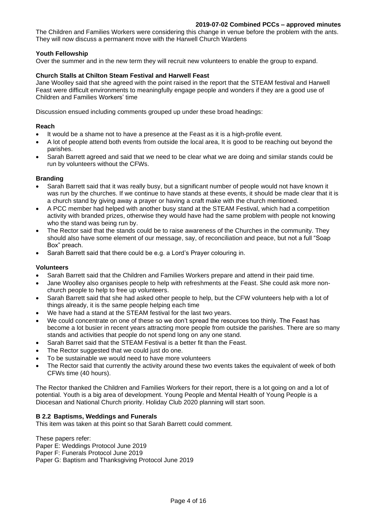The Children and Families Workers were considering this change in venue before the problem with the ants. They will now discuss a permanent move with the Harwell Church Wardens

## **Youth Fellowship**

Over the summer and in the new term they will recruit new volunteers to enable the group to expand.

## **Church Stalls at Chilton Steam Festival and Harwell Feast**

Jane Woolley said that she agreed with the point raised in the report that the STEAM festival and Harwell Feast were difficult environments to meaningfully engage people and wonders if they are a good use of Children and Families Workers' time

Discussion ensued including comments grouped up under these broad headings:

#### **Reach**

- It would be a shame not to have a presence at the Feast as it is a high-profile event.
- A lot of people attend both events from outside the local area, It is good to be reaching out beyond the parishes.
- Sarah Barrett agreed and said that we need to be clear what we are doing and similar stands could be run by volunteers without the CFWs.

#### **Branding**

- Sarah Barrett said that it was really busy, but a significant number of people would not have known it was run by the churches. If we continue to have stands at these events, it should be made clear that it is a church stand by giving away a prayer or having a craft make with the church mentioned.
- A PCC member had helped with another busy stand at the STEAM Festival, which had a competition activity with branded prizes, otherwise they would have had the same problem with people not knowing who the stand was being run by.
- The Rector said that the stands could be to raise awareness of the Churches in the community. They should also have some element of our message, say, of reconciliation and peace, but not a full "Soap Box" preach.
- Sarah Barrett said that there could be e.g. a Lord's Prayer colouring in.

#### **Volunteers**

- Sarah Barrett said that the Children and Families Workers prepare and attend in their paid time.
- Jane Woolley also organises people to help with refreshments at the Feast. She could ask more nonchurch people to help to free up volunteers.
- Sarah Barrett said that she had asked other people to help, but the CFW volunteers help with a lot of things already, it is the same people helping each time
- We have had a stand at the STEAM festival for the last two years.
- We could concentrate on one of these so we don't spread the resources too thinly. The Feast has become a lot busier in recent years attracting more people from outside the parishes. There are so many stands and activities that people do not spend long on any one stand.
- Sarah Barret said that the STEAM Festival is a better fit than the Feast.
- The Rector suggested that we could just do one.
- To be sustainable we would need to have more volunteers
- The Rector said that currently the activity around these two events takes the equivalent of week of both CFWs time (40 hours).

The Rector thanked the Children and Families Workers for their report, there is a lot going on and a lot of potential. Youth is a big area of development. Young People and Mental Health of Young People is a Diocesan and National Church priority. Holiday Club 2020 planning will start soon.

## **B 2.2 Baptisms, Weddings and Funerals**

This item was taken at this point so that Sarah Barrett could comment.

These papers refer: Paper E: Weddings Protocol June 2019 Paper F: Funerals Protocol June 2019 Paper G: Baptism and Thanksgiving Protocol June 2019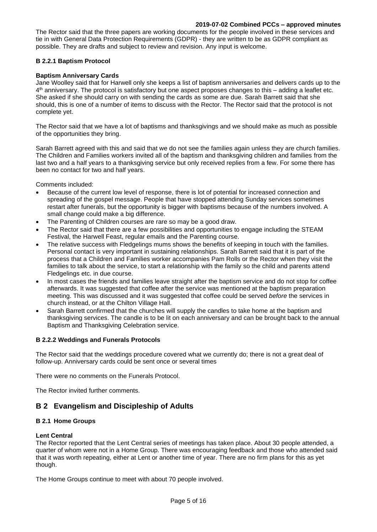The Rector said that the three papers are working documents for the people involved in these services and tie in with General Data Protection Requirements (GDPR) - they are written to be as GDPR compliant as possible. They are drafts and subject to review and revision. Any input is welcome.

## **B 2.2.1 Baptism Protocol**

## **Baptism Anniversary Cards**

Jane Woolley said that for Harwell only she keeps a list of baptism anniversaries and delivers cards up to the 4 th anniversary. The protocol is satisfactory but one aspect proposes changes to this – adding a leaflet etc. She asked if she should carry on with sending the cards as some are due. Sarah Barrett said that she should, this is one of a number of items to discuss with the Rector. The Rector said that the protocol is not complete yet.

The Rector said that we have a lot of baptisms and thanksgivings and we should make as much as possible of the opportunities they bring.

Sarah Barrett agreed with this and said that we do not see the families again unless they are church families. The Children and Families workers invited all of the baptism and thanksgiving children and families from the last two and a half years to a thanksgiving service but only received replies from a few. For some there has been no contact for two and half years.

Comments included:

- Because of the current low level of response, there is lot of potential for increased connection and spreading of the gospel message. People that have stopped attending Sunday services sometimes restart after funerals, but the opportunity is bigger with baptisms because of the numbers involved. A small change could make a big difference.
- The Parenting of Children courses are rare so may be a good draw.
- The Rector said that there are a few possibilities and opportunities to engage including the STEAM Festival, the Harwell Feast, regular emails and the Parenting course.
- The relative success with Fledgelings mums shows the benefits of keeping in touch with the families. Personal contact is very important in sustaining relationships. Sarah Barrett said that it is part of the process that a Children and Families worker accompanies Pam Rolls or the Rector when they visit the families to talk about the service, to start a relationship with the family so the child and parents attend Fledgelings etc. in due course.
- In most cases the friends and families leave straight after the baptism service and do not stop for coffee afterwards. It was suggested that coffee after the service was mentioned at the baptism preparation meeting. This was discussed and it was suggested that coffee could be served *before* the services in church instead, or at the Chilton Village Hall.
- Sarah Barrett confirmed that the churches will supply the candles to take home at the baptism and thanksgiving services. The candle is to be lit on each anniversary and can be brought back to the annual Baptism and Thanksgiving Celebration service.

## **B 2.2.2 Weddings and Funerals Protocols**

The Rector said that the weddings procedure covered what we currently do; there is not a great deal of follow-up. Anniversary cards could be sent once or several times

There were no comments on the Funerals Protocol.

The Rector invited further comments.

## **B 2 Evangelism and Discipleship of Adults**

## **B 2.1 Home Groups**

#### **Lent Central**

The Rector reported that the Lent Central series of meetings has taken place. About 30 people attended, a quarter of whom were not in a Home Group. There was encouraging feedback and those who attended said that it was worth repeating, either at Lent or another time of year. There are no firm plans for this as yet though.

The Home Groups continue to meet with about 70 people involved.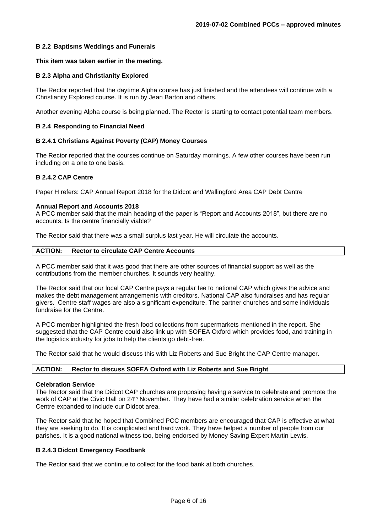## **B 2.2 Baptisms Weddings and Funerals**

#### **This item was taken earlier in the meeting.**

#### **B 2.3 Alpha and Christianity Explored**

The Rector reported that the daytime Alpha course has just finished and the attendees will continue with a Christianity Explored course. It is run by Jean Barton and others.

Another evening Alpha course is being planned. The Rector is starting to contact potential team members.

#### **B 2.4 Responding to Financial Need**

#### **B 2.4.1 Christians Against Poverty (CAP) Money Courses**

The Rector reported that the courses continue on Saturday mornings. A few other courses have been run including on a one to one basis.

#### **B 2.4.2 CAP Centre**

Paper H refers: CAP Annual Report 2018 for the Didcot and Wallingford Area CAP Debt Centre

#### **Annual Report and Accounts 2018**

A PCC member said that the main heading of the paper is "Report and Accounts 2018", but there are no accounts. Is the centre financially viable?

The Rector said that there was a small surplus last year. He will circulate the accounts.

#### **ACTION: Rector to circulate CAP Centre Accounts**

A PCC member said that it was good that there are other sources of financial support as well as the contributions from the member churches. It sounds very healthy.

The Rector said that our local CAP Centre pays a regular fee to national CAP which gives the advice and makes the debt management arrangements with creditors. National CAP also fundraises and has regular givers. Centre staff wages are also a significant expenditure. The partner churches and some individuals fundraise for the Centre.

A PCC member highlighted the fresh food collections from supermarkets mentioned in the report. She suggested that the CAP Centre could also link up with SOFEA Oxford which provides food, and training in the logistics industry for jobs to help the clients go debt-free.

The Rector said that he would discuss this with Liz Roberts and Sue Bright the CAP Centre manager.

#### **ACTION: Rector to discuss SOFEA Oxford with Liz Roberts and Sue Bright**

#### **Celebration Service**

The Rector said that the Didcot CAP churches are proposing having a service to celebrate and promote the work of CAP at the Civic Hall on 24<sup>th</sup> November. They have had a similar celebration service when the Centre expanded to include our Didcot area.

The Rector said that he hoped that Combined PCC members are encouraged that CAP is effective at what they are seeking to do. It is complicated and hard work. They have helped a number of people from our parishes. It is a good national witness too, being endorsed by Money Saving Expert Martin Lewis.

#### **B 2.4.3 Didcot Emergency Foodbank**

The Rector said that we continue to collect for the food bank at both churches.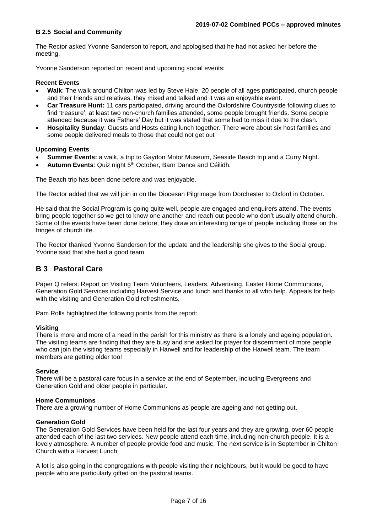## **B 2.5 Social and Community**

The Rector asked Yvonne Sanderson to report, and apologised that he had not asked her before the meeting.

Yvonne Sanderson reported on recent and upcoming social events:

## **Recent Events**

- **Walk**: The walk around Chilton was led by Steve Hale. 20 people of all ages participated, church people and their friends and relatives, they mixed and talked and it was an enjoyable event.
- **Car Treasure Hunt:** 11 cars participated, driving around the Oxfordshire Countryside following clues to find 'treasure', at least two non-church families attended, some people brought friends. Some people attended because it was Fathers' Day but it was stated that some had to miss it due to the clash.
- **Hospitality Sunday**: Guests and Hosts eating lunch together. There were about six host families and some people delivered meals to those that could not get out

## **Upcoming Events**

- **Summer Events:** a walk, a trip to Gaydon Motor Museum, Seaside Beach trip and a Curry Night.
- **Autumn Events**: Quiz night 5th October, Barn Dance and Céilidh.

The Beach trip has been done before and was enjoyable.

The Rector added that we will join in on the Diocesan Pilgrimage from Dorchester to Oxford in October.

He said that the Social Program is going quite well, people are engaged and enquirers attend. The events bring people together so we get to know one another and reach out people who don't usually attend church. Some of the events have been done before; they draw an interesting range of people including those on the fringes of church life.

The Rector thanked Yvonne Sanderson for the update and the leadership she gives to the Social group. Yvonne said that she had a good team.

## **B 3 Pastoral Care**

Paper Q refers: Report on Visiting Team Volunteers, Leaders, Advertising, Easter Home Communions, Generation Gold Services including Harvest Service and lunch and thanks to all who help. Appeals for help with the visiting and Generation Gold refreshments.

Pam Rolls highlighted the following points from the report:

## **Visiting**

There is more and more of a need in the parish for this ministry as there is a lonely and ageing population. The visiting teams are finding that they are busy and she asked for prayer for discernment of more people who can join the visiting teams especially in Harwell and for leadership of the Harwell team. The team members are getting older too!

## **Service**

There will be a pastoral care focus in a service at the end of September, including Evergreens and Generation Gold and older people in particular.

## **Home Communions**

There are a growing number of Home Communions as people are ageing and not getting out.

## **Generation Gold**

The Generation Gold Services have been held for the last four years and they are growing, over 60 people attended each of the last two services. New people attend each time, including non-church people. It is a lovely atmosphere. A number of people provide food and music. The next service is in September in Chilton Church with a Harvest Lunch.

A lot is also going in the congregations with people visiting their neighbours, but it would be good to have people who are particularly gifted on the pastoral teams.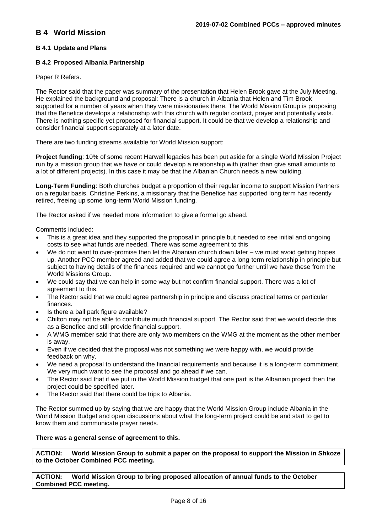## **B 4 World Mission**

## **B 4.1 Update and Plans**

## **B 4.2 Proposed Albania Partnership**

Paper R Refers.

The Rector said that the paper was summary of the presentation that Helen Brook gave at the July Meeting. He explained the background and proposal: There is a church in Albania that Helen and Tim Brook supported for a number of years when they were missionaries there. The World Mission Group is proposing that the Benefice develops a relationship with this church with regular contact, prayer and potentially visits. There is nothing specific yet proposed for financial support. It could be that we develop a relationship and consider financial support separately at a later date.

There are two funding streams available for World Mission support:

**Project funding**: 10% of some recent Harwell legacies has been put aside for a single World Mission Project run by a mission group that we have or could develop a relationship with (rather than give small amounts to a lot of different projects). In this case it may be that the Albanian Church needs a new building.

**Long-Term Funding**: Both churches budget a proportion of their regular income to support Mission Partners on a regular basis. Christine Perkins, a missionary that the Benefice has supported long term has recently retired, freeing up some long-term World Mission funding.

The Rector asked if we needed more information to give a formal go ahead.

Comments included:

- This is a great idea and they supported the proposal in principle but needed to see initial and ongoing costs to see what funds are needed. There was some agreement to this
- We do not want to over-promise then let the Albanian church down later we must avoid getting hopes up. Another PCC member agreed and added that we could agree a long-term relationship in principle but subject to having details of the finances required and we cannot go further until we have these from the World Missions Group.
- We could say that we can help in some way but not confirm financial support. There was a lot of agreement to this.
- The Rector said that we could agree partnership in principle and discuss practical terms or particular finances.
- Is there a ball park figure available?
- Chilton may not be able to contribute much financial support. The Rector said that we would decide this as a Benefice and still provide financial support.
- A WMG member said that there are only two members on the WMG at the moment as the other member is away.
- Even if we decided that the proposal was not something we were happy with, we would provide feedback on why.
- We need a proposal to understand the financial requirements and because it is a long-term commitment. We very much want to see the proposal and go ahead if we can.
- The Rector said that if we put in the World Mission budget that one part is the Albanian project then the project could be specified later.
- The Rector said that there could be trips to Albania.

The Rector summed up by saying that we are happy that the World Mission Group include Albania in the World Mission Budget and open discussions about what the long-term project could be and start to get to know them and communicate prayer needs.

#### **There was a general sense of agreement to this.**

**ACTION: World Mission Group to submit a paper on the proposal to support the Mission in Shkoze to the October Combined PCC meeting.**

**ACTION: World Mission Group to bring proposed allocation of annual funds to the October Combined PCC meeting.**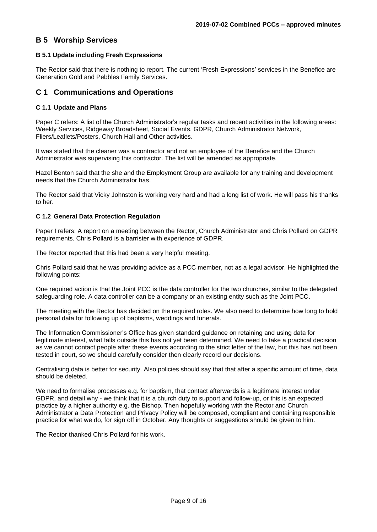## **B 5 Worship Services**

#### **B 5.1 Update including Fresh Expressions**

The Rector said that there is nothing to report. The current 'Fresh Expressions' services in the Benefice are Generation Gold and Pebbles Family Services.

## **C 1 Communications and Operations**

#### **C 1.1 Update and Plans**

Paper C refers: A list of the Church Administrator's regular tasks and recent activities in the following areas: Weekly Services, Ridgeway Broadsheet, Social Events, GDPR, Church Administrator Network, Fliers/Leaflets/Posters, Church Hall and Other activities.

It was stated that the cleaner was a contractor and not an employee of the Benefice and the Church Administrator was supervising this contractor. The list will be amended as appropriate.

Hazel Benton said that the she and the Employment Group are available for any training and development needs that the Church Administrator has.

The Rector said that Vicky Johnston is working very hard and had a long list of work. He will pass his thanks to her.

#### **C 1.2 General Data Protection Regulation**

Paper I refers: A report on a meeting between the Rector, Church Administrator and Chris Pollard on GDPR requirements. Chris Pollard is a barrister with experience of GDPR.

The Rector reported that this had been a very helpful meeting.

Chris Pollard said that he was providing advice as a PCC member, not as a legal advisor. He highlighted the following points:

One required action is that the Joint PCC is the data controller for the two churches, similar to the delegated safeguarding role. A data controller can be a company or an existing entity such as the Joint PCC.

The meeting with the Rector has decided on the required roles. We also need to determine how long to hold personal data for following up of baptisms, weddings and funerals.

The Information Commissioner's Office has given standard guidance on retaining and using data for legitimate interest, what falls outside this has not yet been determined. We need to take a practical decision as we cannot contact people after these events according to the strict letter of the law, but this has not been tested in court, so we should carefully consider then clearly record our decisions.

Centralising data is better for security. Also policies should say that that after a specific amount of time, data should be deleted.

We need to formalise processes e.g. for baptism, that contact afterwards is a legitimate interest under GDPR, and detail why - we think that it is a church duty to support and follow-up, or this is an expected practice by a higher authority e.g. the Bishop. Then hopefully working with the Rector and Church Administrator a Data Protection and Privacy Policy will be composed, compliant and containing responsible practice for what we do, for sign off in October. Any thoughts or suggestions should be given to him.

The Rector thanked Chris Pollard for his work.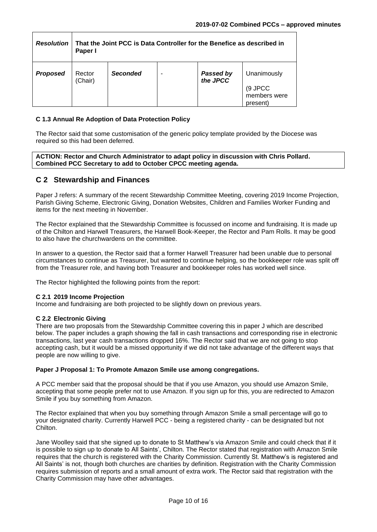| <b>Resolution</b> | That the Joint PCC is Data Controller for the Benefice as described in<br>Paper I |                 |  |                       |                                                    |
|-------------------|-----------------------------------------------------------------------------------|-----------------|--|-----------------------|----------------------------------------------------|
| <b>Proposed</b>   | Rector<br>(Chair)                                                                 | <b>Seconded</b> |  | Passed by<br>the JPCC | Unanimously<br>(9 JPCC<br>members were<br>present) |

#### **C 1.3 Annual Re Adoption of Data Protection Policy**

The Rector said that some customisation of the generic policy template provided by the Diocese was required so this had been deferred.

**ACTION: Rector and Church Administrator to adapt policy in discussion with Chris Pollard. Combined PCC Secretary to add to October CPCC meeting agenda.**

## **C 2 Stewardship and Finances**

Paper J refers: A summary of the recent Stewardship Committee Meeting, covering 2019 Income Projection, Parish Giving Scheme, Electronic Giving, Donation Websites, Children and Families Worker Funding and items for the next meeting in November.

The Rector explained that the Stewardship Committee is focussed on income and fundraising. It is made up of the Chilton and Harwell Treasurers, the Harwell Book-Keeper, the Rector and Pam Rolls. It may be good to also have the churchwardens on the committee.

In answer to a question, the Rector said that a former Harwell Treasurer had been unable due to personal circumstances to continue as Treasurer, but wanted to continue helping, so the bookkeeper role was split off from the Treasurer role, and having both Treasurer and bookkeeper roles has worked well since.

The Rector highlighted the following points from the report:

#### **C 2.1 2019 Income Projection**

Income and fundraising are both projected to be slightly down on previous years.

#### **C 2.2 Electronic Giving**

There are two proposals from the Stewardship Committee covering this in paper J which are described below. The paper includes a graph showing the fall in cash transactions and corresponding rise in electronic transactions, last year cash transactions dropped 16%. The Rector said that we are not going to stop accepting cash, but it would be a missed opportunity if we did not take advantage of the different ways that people are now willing to give.

#### **Paper J Proposal 1: To Promote Amazon Smile use among congregations.**

A PCC member said that the proposal should be that if you use Amazon, you should use Amazon Smile, accepting that some people prefer not to use Amazon. If you sign up for this, you are redirected to Amazon Smile if you buy something from Amazon.

The Rector explained that when you buy something through Amazon Smile a small percentage will go to your designated charity. Currently Harwell PCC - being a registered charity - can be designated but not Chilton.

Jane Woolley said that she signed up to donate to St Matthew's via Amazon Smile and could check that if it is possible to sign up to donate to All Saints', Chilton. The Rector stated that registration with Amazon Smile requires that the church is registered with the Charity Commission. Currently St. Matthew's is registered and All Saints' is not, though both churches are charities by definition. Registration with the Charity Commission requires submission of reports and a small amount of extra work. The Rector said that registration with the Charity Commission may have other advantages.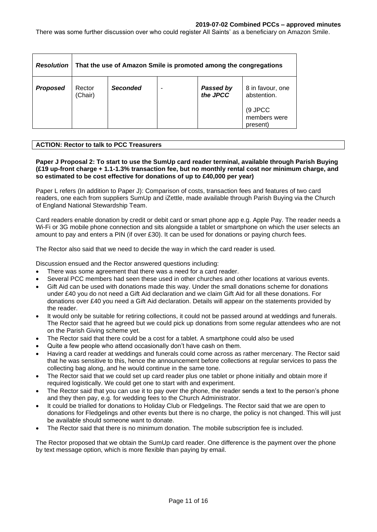There was some further discussion over who could register All Saints' as a beneficiary on Amazon Smile.

| <b>Resolution</b> | That the use of Amazon Smile is promoted among the congregations |                 |  |                               |                                                                        |
|-------------------|------------------------------------------------------------------|-----------------|--|-------------------------------|------------------------------------------------------------------------|
| <b>Proposed</b>   | Rector<br>(Chair)                                                | <b>Seconded</b> |  | <b>Passed by<br/>the JPCC</b> | 8 in favour, one<br>abstention.<br>(9 JPCC<br>members were<br>present) |

## **ACTION: Rector to talk to PCC Treasurers**

**Paper J Proposal 2: To start to use the SumUp card reader terminal, available through Parish Buying (£19 up-front charge + 1.1-1.3% transaction fee, but no monthly rental cost nor minimum charge, and so estimated to be cost effective for donations of up to £40,000 per year)**

Paper L refers (In addition to Paper J): Comparison of costs, transaction fees and features of two card readers, one each from suppliers SumUp and iZettle, made available through Parish Buying via the Church of England National Stewardship Team.

Card readers enable donation by credit or debit card or smart phone app e.g. Apple Pay. The reader needs a Wi-Fi or 3G mobile phone connection and sits alongside a tablet or smartphone on which the user selects an amount to pay and enters a PIN (if over £30). It can be used for donations or paying church fees.

The Rector also said that we need to decide the way in which the card reader is used.

Discussion ensued and the Rector answered questions including:

- There was some agreement that there was a need for a card reader.
- Several PCC members had seen these used in other churches and other locations at various events.
- Gift Aid can be used with donations made this way. Under the small donations scheme for donations under £40 you do not need a Gift Aid declaration and we claim Gift Aid for all these donations. For donations over £40 you need a Gift Aid declaration. Details will appear on the statements provided by the reader.
- It would only be suitable for retiring collections, it could not be passed around at weddings and funerals. The Rector said that he agreed but we could pick up donations from some regular attendees who are not on the Parish Giving scheme yet.
- The Rector said that there could be a cost for a tablet. A smartphone could also be used
- Quite a few people who attend occasionally don't have cash on them.
- Having a card reader at weddings and funerals could come across as rather mercenary. The Rector said that he was sensitive to this, hence the announcement before collections at regular services to pass the collecting bag along, and he would continue in the same tone.
- The Rector said that we could set up card reader plus one tablet or phone initially and obtain more if required logistically. We could get one to start with and experiment.
- The Rector said that you can use it to pay over the phone, the reader sends a text to the person's phone and they then pay, e.g. for wedding fees to the Church Administrator.
- It could be trialled for donations to Holiday Club or Fledgelings. The Rector said that we are open to donations for Fledgelings and other events but there is no charge, the policy is not changed. This will just be available should someone want to donate.
- The Rector said that there is no minimum donation. The mobile subscription fee is included.

The Rector proposed that we obtain the SumUp card reader. One difference is the payment over the phone by text message option, which is more flexible than paying by email.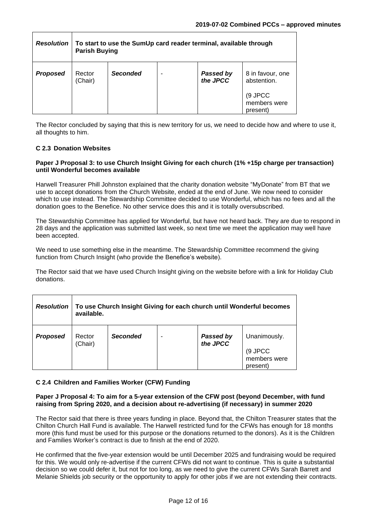| <b>Resolution</b> | To start to use the SumUp card reader terminal, available through<br><b>Parish Buying</b> |                 |  |                              |                                                            |
|-------------------|-------------------------------------------------------------------------------------------|-----------------|--|------------------------------|------------------------------------------------------------|
| <b>Proposed</b>   | Rector<br>(Chair)                                                                         | <b>Seconded</b> |  | <b>Passed by</b><br>the JPCC | 8 in favour, one<br>abstention.<br>(9 JPCC<br>members were |
|                   |                                                                                           |                 |  |                              | present)                                                   |

The Rector concluded by saying that this is new territory for us, we need to decide how and where to use it, all thoughts to him.

## **C 2.3 Donation Websites**

#### **Paper J Proposal 3: to use Church Insight Giving for each church (1% +15p charge per transaction) until Wonderful becomes available**

Harwell Treasurer Phill Johnston explained that the charity donation website "MyDonate" from BT that we use to accept donations from the Church Website, ended at the end of June. We now need to consider which to use instead. The Stewardship Committee decided to use Wonderful, which has no fees and all the donation goes to the Benefice. No other service does this and it is totally oversubscribed.

The Stewardship Committee has applied for Wonderful, but have not heard back. They are due to respond in 28 days and the application was submitted last week, so next time we meet the application may well have been accepted.

We need to use something else in the meantime. The Stewardship Committee recommend the giving function from Church Insight (who provide the Benefice's website).

The Rector said that we have used Church Insight giving on the website before with a link for Holiday Club donations.

|                 | Resolution   To use Church Insight Giving for each church until Wonderful becomes<br>available. |                 |  |                              |                                     |
|-----------------|-------------------------------------------------------------------------------------------------|-----------------|--|------------------------------|-------------------------------------|
| <b>Proposed</b> | Rector<br>(Chair)                                                                               | <b>Seconded</b> |  | <b>Passed by</b><br>the JPCC | Unanimously.                        |
|                 |                                                                                                 |                 |  |                              | (9 JPCC<br>members were<br>present) |

## **C 2.4 Children and Families Worker (CFW) Funding**

#### **Paper J Proposal 4: To aim for a 5-year extension of the CFW post (beyond December, with fund raising from Spring 2020, and a decision about re-advertising (if necessary) in summer 2020**

The Rector said that there is three years funding in place. Beyond that, the Chilton Treasurer states that the Chilton Church Hall Fund is available. The Harwell restricted fund for the CFWs has enough for 18 months more (this fund must be used for this purpose or the donations returned to the donors). As it is the Children and Families Worker's contract is due to finish at the end of 2020.

He confirmed that the five-year extension would be until December 2025 and fundraising would be required for this. We would only re-advertise if the current CFWs did not want to continue. This is quite a substantial decision so we could defer it, but not for too long, as we need to give the current CFWs Sarah Barrett and Melanie Shields job security or the opportunity to apply for other jobs if we are not extending their contracts.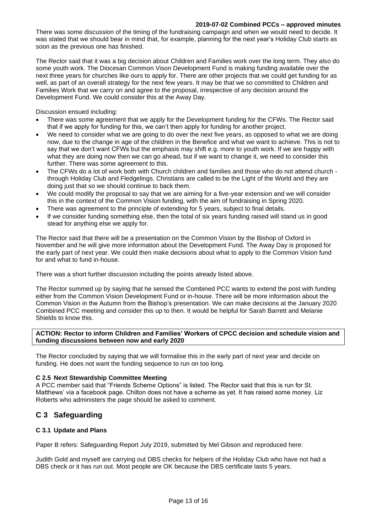There was some discussion of the timing of the fundraising campaign and when we would need to decide. It was stated that we should bear in mind that, for example, planning for the next year's Holiday Club starts as soon as the previous one has finished.

The Rector said that it was a big decision about Children and Families work over the long term. They also do some youth work. The Diocesan Common Vison Development Fund is making funding available over the next three years for churches like ours to apply for. There are other projects that we could get funding for as well, as part of an overall strategy for the next few years. It may be that we so committed to Children and Families Work that we carry on and agree to the proposal, irrespective of any decision around the Development Fund. We could consider this at the Away Day.

Discussion ensued including:

- There was some agreement that we apply for the Development funding for the CFWs. The Rector said that if we apply for funding for this, we can't then apply for funding for another project.
- We need to consider what we are going to do over the next five years, as opposed to what we are doing now, due to the change in age of the children in the Benefice and what we want to achieve. This is not to say that we don't want CFWs but the emphasis may shift e.g. more to youth work. If we are happy with what they are doing now then we can go ahead, but if we want to change it, we need to consider this further. There was some agreement to this.
- The CFWs do a lot of work both with Church children and families and those who do not attend church through Holiday Club and Fledgelings. Christians are called to be the Light of the World and they are doing just that so we should continue to back them.
- We could modify the proposal to say that we are aiming for a five-year extension and we will consider this in the context of the Common Vision funding, with the aim of fundraising in Spring 2020.
- There was agreement to the principle of extending for 5 years, subject to final details.
- If we consider funding something else, then the total of six years funding raised will stand us in good stead for anything else we apply for.

The Rector said that there will be a presentation on the Common Vision by the Bishop of Oxford in November and he will give more information about the Development Fund. The Away Day is proposed for the early part of next year. We could then make decisions about what to apply to the Common Vision fund for and what to fund in-house.

There was a short further discussion including the points already listed above.

The Rector summed up by saying that he sensed the Combined PCC wants to extend the post with funding either from the Common Vision Development Fund or in-house. There will be more information about the Common Vision in the Autumn from the Bishop's presentation. We can make decisions at the January 2020 Combined PCC meeting and consider this up to then. It would be helpful for Sarah Barrett and Melanie Shields to know this.

#### **ACTION: Rector to inform Children and Families' Workers of CPCC decision and schedule vision and funding discussions between now and early 2020**

The Rector concluded by saying that we will formalise this in the early part of next year and decide on funding. He does not want the funding sequence to run on too long.

## **C 2.5 Next Stewardship Committee Meeting**

A PCC member said that "Friends Scheme Options" is listed. The Rector said that this is run for St. Matthews' via a facebook page. Chilton does not have a scheme as yet. It has raised some money. Liz Roberts who administers the page should be asked to comment.

## **C 3 Safeguarding**

## **C 3.1 Update and Plans**

Paper B refers: Safeguarding Report July 2019, submitted by Mel Gibson and reproduced here:

Judith Gold and myself are carrying out DBS checks for helpers of the Holiday Club who have not had a DBS check or it has run out. Most people are OK because the DBS certificate lasts 5 years.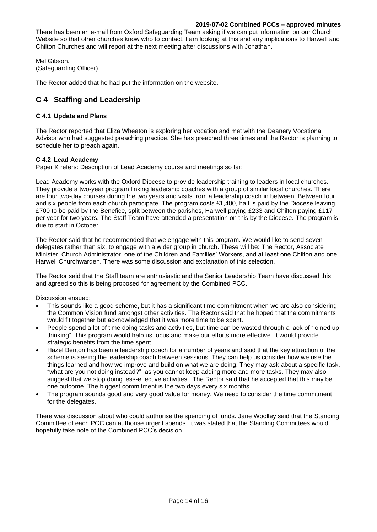There has been an e-mail from Oxford Safeguarding Team asking if we can put information on our Church Website so that other churches know who to contact. I am looking at this and any implications to Harwell and Chilton Churches and will report at the next meeting after discussions with Jonathan.

Mel Gibson. (Safeguarding Officer)

The Rector added that he had put the information on the website.

## **C 4 Staffing and Leadership**

## **C 4.1 Update and Plans**

The Rector reported that Eliza Wheaton is exploring her vocation and met with the Deanery Vocational Advisor who had suggested preaching practice. She has preached three times and the Rector is planning to schedule her to preach again.

## **C 4.2 Lead Academy**

Paper K refers: Description of Lead Academy course and meetings so far:

Lead Academy works with the Oxford Diocese to provide leadership training to leaders in local churches. They provide a two-year program linking leadership coaches with a group of similar local churches. There are four two-day courses during the two years and visits from a leadership coach in between. Between four and six people from each church participate. The program costs £1,400, half is paid by the Diocese leaving £700 to be paid by the Benefice, split between the parishes, Harwell paying £233 and Chilton paying £117 per year for two years. The Staff Team have attended a presentation on this by the Diocese. The program is due to start in October.

The Rector said that he recommended that we engage with this program. We would like to send seven delegates rather than six, to engage with a wider group in church. These will be: The Rector, Associate Minister, Church Administrator, one of the Children and Families' Workers, and at least one Chilton and one Harwell Churchwarden. There was some discussion and explanation of this selection.

The Rector said that the Staff team are enthusiastic and the Senior Leadership Team have discussed this and agreed so this is being proposed for agreement by the Combined PCC.

Discussion ensued:

- This sounds like a good scheme, but it has a significant time commitment when we are also considering the Common Vision fund amongst other activities. The Rector said that he hoped that the commitments would fit together but acknowledged that it was more time to be spent.
- People spend a lot of time doing tasks and activities, but time can be wasted through a lack of "joined up thinking". This program would help us focus and make our efforts more effective. It would provide strategic benefits from the time spent.
- Hazel Benton has been a leadership coach for a number of years and said that the key attraction of the scheme is seeing the leadership coach between sessions. They can help us consider how we use the things learned and how we improve and build on what we are doing. They may ask about a specific task, "what are you not doing instead?", as you cannot keep adding more and more tasks. They may also suggest that we stop doing less-effective activities. The Rector said that he accepted that this may be one outcome. The biggest commitment is the two days every six months.
- The program sounds good and very good value for money. We need to consider the time commitment for the delegates.

There was discussion about who could authorise the spending of funds. Jane Woolley said that the Standing Committee of each PCC can authorise urgent spends. It was stated that the Standing Committees would hopefully take note of the Combined PCC's decision.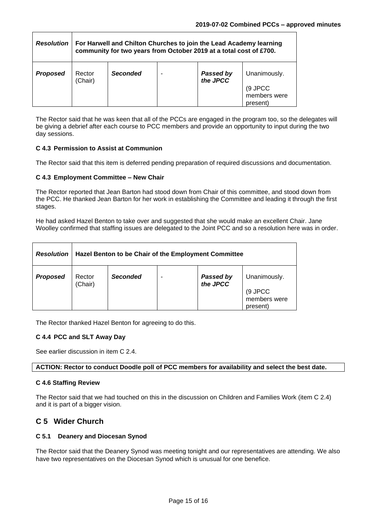| <b>Resolution</b> | For Harwell and Chilton Churches to join the Lead Academy learning<br>community for two years from October 2019 at a total cost of £700. |          |   |                       |                                     |
|-------------------|------------------------------------------------------------------------------------------------------------------------------------------|----------|---|-----------------------|-------------------------------------|
| <b>Proposed</b>   | Rector<br>(Chair)                                                                                                                        | Seconded | ۰ | Passed by<br>the JPCC | Unanimously.                        |
|                   |                                                                                                                                          |          |   |                       | (9 JPCC<br>members were<br>present) |

The Rector said that he was keen that all of the PCCs are engaged in the program too, so the delegates will be giving a debrief after each course to PCC members and provide an opportunity to input during the two day sessions.

## **C 4.3 Permission to Assist at Communion**

The Rector said that this item is deferred pending preparation of required discussions and documentation.

#### **C 4.3 Employment Committee – New Chair**

The Rector reported that Jean Barton had stood down from Chair of this committee, and stood down from the PCC. He thanked Jean Barton for her work in establishing the Committee and leading it through the first stages.

He had asked Hazel Benton to take over and suggested that she would make an excellent Chair. Jane Woolley confirmed that staffing issues are delegated to the Joint PCC and so a resolution here was in order.

| <b>Resolution</b> | Hazel Benton to be Chair of the Employment Committee |                 |  |                              |                                                     |
|-------------------|------------------------------------------------------|-----------------|--|------------------------------|-----------------------------------------------------|
| <b>Proposed</b>   | Rector<br>(Chair)                                    | <b>Seconded</b> |  | <b>Passed by</b><br>the JPCC | Unanimously.<br>(9 JPCC<br>members were<br>present) |

The Rector thanked Hazel Benton for agreeing to do this.

## **C 4.4 PCC and SLT Away Day**

See earlier discussion in item C 2.4.

#### **ACTION: Rector to conduct Doodle poll of PCC members for availability and select the best date.**

#### **C 4.6 Staffing Review**

The Rector said that we had touched on this in the discussion on Children and Families Work (item C 2.4) and it is part of a bigger vision.

## **C 5 Wider Church**

#### **C 5.1 Deanery and Diocesan Synod**

The Rector said that the Deanery Synod was meeting tonight and our representatives are attending. We also have two representatives on the Diocesan Synod which is unusual for one benefice.